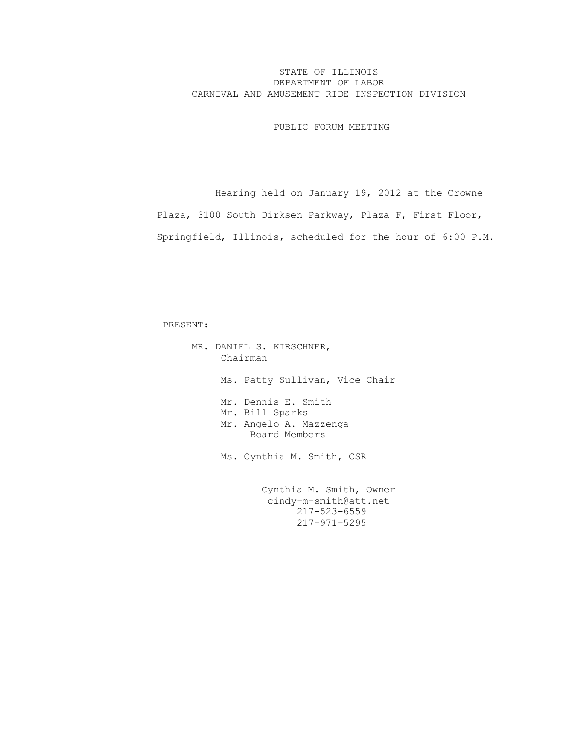## STATE OF ILLINOIS DEPARTMENT OF LABOR CARNIVAL AND AMUSEMENT RIDE INSPECTION DIVISION

PUBLIC FORUM MEETING

 Hearing held on January 19, 2012 at the Crowne Plaza, 3100 South Dirksen Parkway, Plaza F, First Floor, Springfield, Illinois, scheduled for the hour of 6:00 P.M.

## PRESENT:

 MR. DANIEL S. KIRSCHNER, Chairman Ms. Patty Sullivan, Vice Chair Mr. Dennis E. Smith Mr. Bill Sparks Mr. Angelo A. Mazzenga Board Members Ms. Cynthia M. Smith, CSR Cynthia M. Smith, Owner cindy-m-smith@att.net 217-523-6559 217-971-5295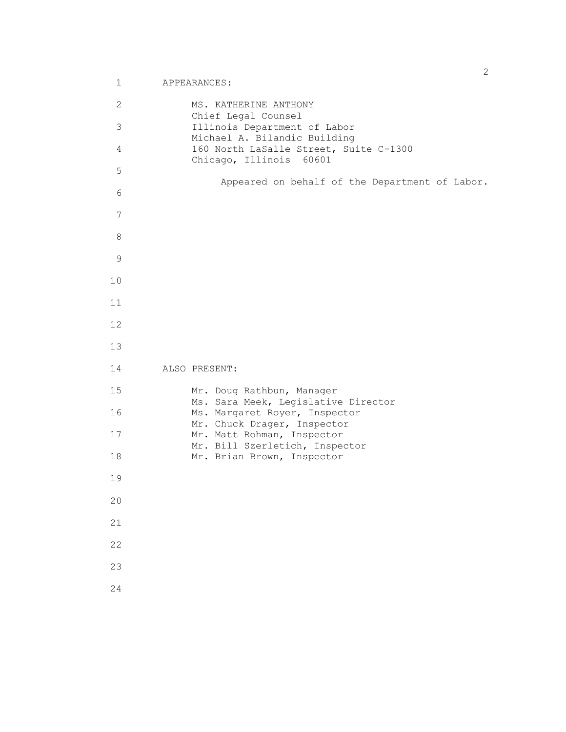```
 2 MS. KATHERINE ANTHONY
                   Chief Legal Counsel
       3 Illinois Department of Labor
                  Michael A. Bilandic Building
       4 160 North LaSalle Street, Suite C-1300
                   Chicago, Illinois 60601
       5
                       Appeared on behalf of the Department of Labor.
       6
       7
       8
       9
      10
      11
      12
      13
      14 ALSO PRESENT:
      15 Mr. Doug Rathbun, Manager
                  Ms. Sara Meek, Legislative Director
      16 Ms. Margaret Royer, Inspector
Mr. Chuck Drager, Inspector
17 Mr. Matt Rohman, Inspector
                  Mr. Bill Szerletich, Inspector
     18 Mr. Brian Brown, Inspector
      19
      20
      21
      22
      23
      24
```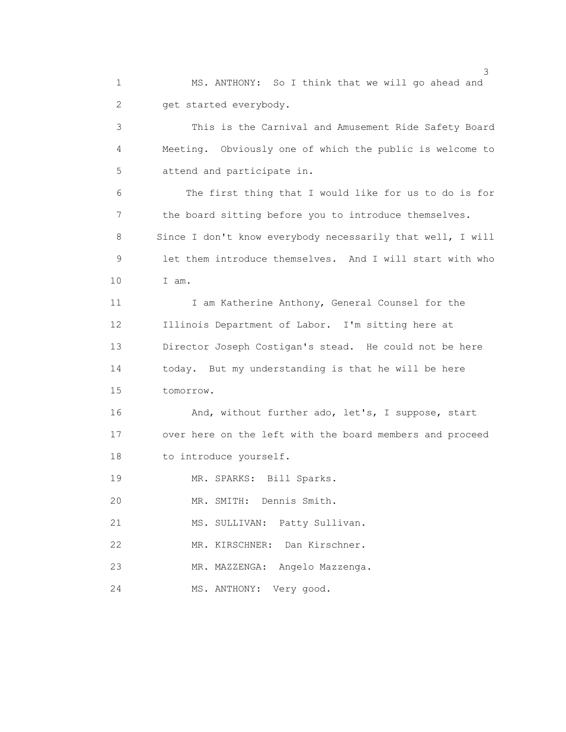1 MS. ANTHONY: So I think that we will go ahead and 2 get started everybody.

 3 This is the Carnival and Amusement Ride Safety Board 4 Meeting. Obviously one of which the public is welcome to 5 attend and participate in.

 6 The first thing that I would like for us to do is for 7 the board sitting before you to introduce themselves. 8 Since I don't know everybody necessarily that well, I will 9 let them introduce themselves. And I will start with who 10 I am.

11 I am Katherine Anthony, General Counsel for the 12 Illinois Department of Labor. I'm sitting here at 13 Director Joseph Costigan's stead. He could not be here 14 today. But my understanding is that he will be here 15 tomorrow.

 16 And, without further ado, let's, I suppose, start 17 over here on the left with the board members and proceed 18 to introduce yourself.

19 MR. SPARKS: Bill Sparks.

20 MR. SMITH: Dennis Smith.

21 MS. SULLIVAN: Patty Sullivan.

22 MR. KIRSCHNER: Dan Kirschner.

23 MR. MAZZENGA: Angelo Mazzenga.

24 MS. ANTHONY: Very good.

 $\sim$  3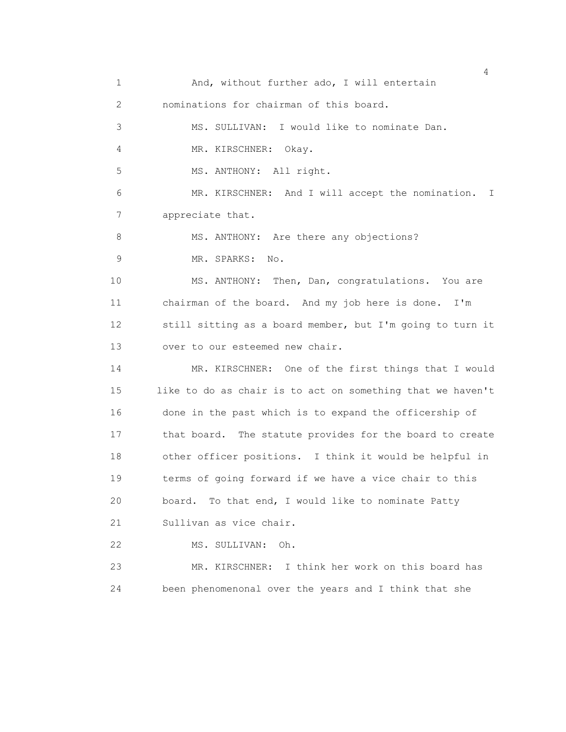1 And, without further ado, I will entertain 2 nominations for chairman of this board. 3 MS. SULLIVAN: I would like to nominate Dan. 4 MR. KIRSCHNER: Okay. 5 MS. ANTHONY: All right. 6 MR. KIRSCHNER: And I will accept the nomination. I 7 appreciate that. 8 MS. ANTHONY: Are there any objections? 9 MR. SPARKS: No. 10 MS. ANTHONY: Then, Dan, congratulations. You are 11 chairman of the board. And my job here is done. I'm 12 still sitting as a board member, but I'm going to turn it 13 over to our esteemed new chair. 14 MR. KIRSCHNER: One of the first things that I would 15 like to do as chair is to act on something that we haven't 16 done in the past which is to expand the officership of 17 that board. The statute provides for the board to create 18 other officer positions. I think it would be helpful in 19 terms of going forward if we have a vice chair to this 20 board. To that end, I would like to nominate Patty 21 Sullivan as vice chair. 22 MS. SULLIVAN: Oh. 23 MR. KIRSCHNER: I think her work on this board has 24 been phenomenonal over the years and I think that she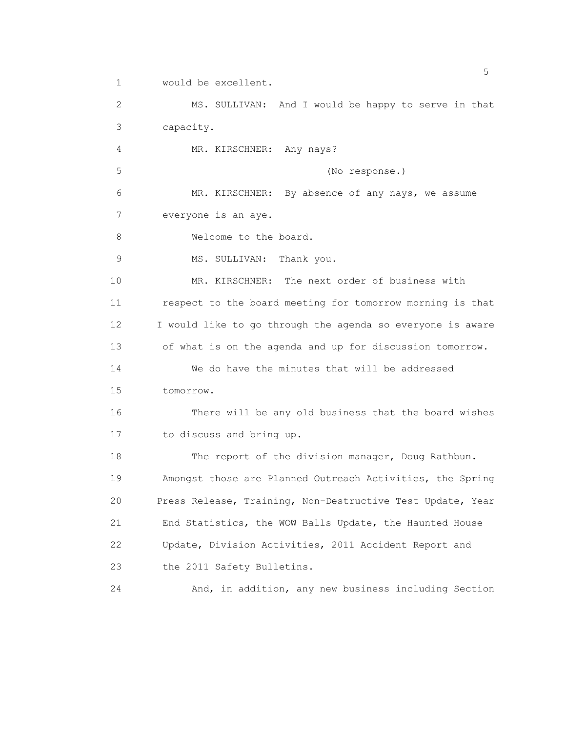1 would be excellent.

 2 MS. SULLIVAN: And I would be happy to serve in that 3 capacity.

4 MR. KIRSCHNER: Any nays?

5 (No response.)

 6 MR. KIRSCHNER: By absence of any nays, we assume 7 everyone is an aye.

8 Welcome to the board.

9 MS. SULLIVAN: Thank you.

 10 MR. KIRSCHNER: The next order of business with 11 respect to the board meeting for tomorrow morning is that 12 I would like to go through the agenda so everyone is aware 13 of what is on the agenda and up for discussion tomorrow. 14 We do have the minutes that will be addressed

15 tomorrow.

 16 There will be any old business that the board wishes 17 to discuss and bring up.

18 The report of the division manager, Doug Rathbun. 19 Amongst those are Planned Outreach Activities, the Spring 20 Press Release, Training, Non-Destructive Test Update, Year 21 End Statistics, the WOW Balls Update, the Haunted House 22 Update, Division Activities, 2011 Accident Report and 23 the 2011 Safety Bulletins.

24 And, in addition, any new business including Section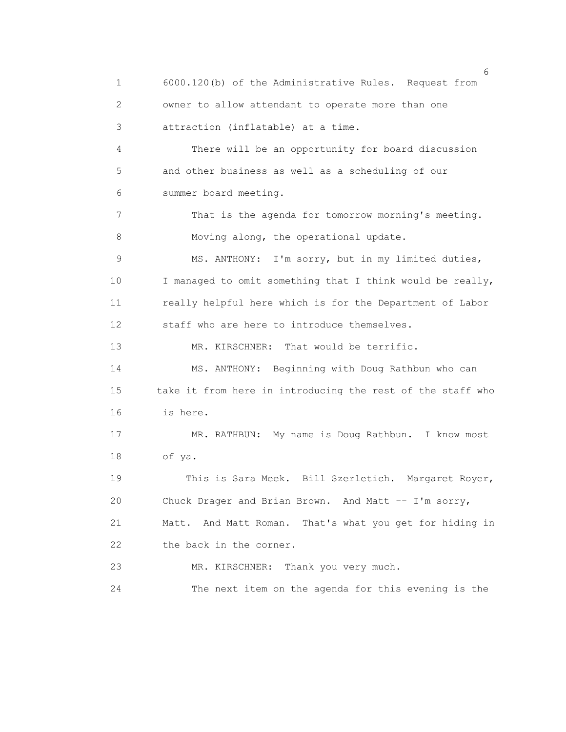1 6000.120(b) of the Administrative Rules. Request from 2 owner to allow attendant to operate more than one 3 attraction (inflatable) at a time. 4 There will be an opportunity for board discussion 5 and other business as well as a scheduling of our 6 summer board meeting. 7 That is the agenda for tomorrow morning's meeting. 8 Moving along, the operational update. 9 MS. ANTHONY: I'm sorry, but in my limited duties, 10 I managed to omit something that I think would be really, 11 really helpful here which is for the Department of Labor 12 staff who are here to introduce themselves. 13 MR. KIRSCHNER: That would be terrific. 14 MS. ANTHONY: Beginning with Doug Rathbun who can 15 take it from here in introducing the rest of the staff who 16 is here. 17 MR. RATHBUN: My name is Doug Rathbun. I know most 18 of ya. 19 This is Sara Meek. Bill Szerletich. Margaret Royer, 20 Chuck Drager and Brian Brown. And Matt -- I'm sorry, 21 Matt. And Matt Roman. That's what you get for hiding in 22 the back in the corner. 23 MR. KIRSCHNER: Thank you very much. 24 The next item on the agenda for this evening is the

 $\sim$  6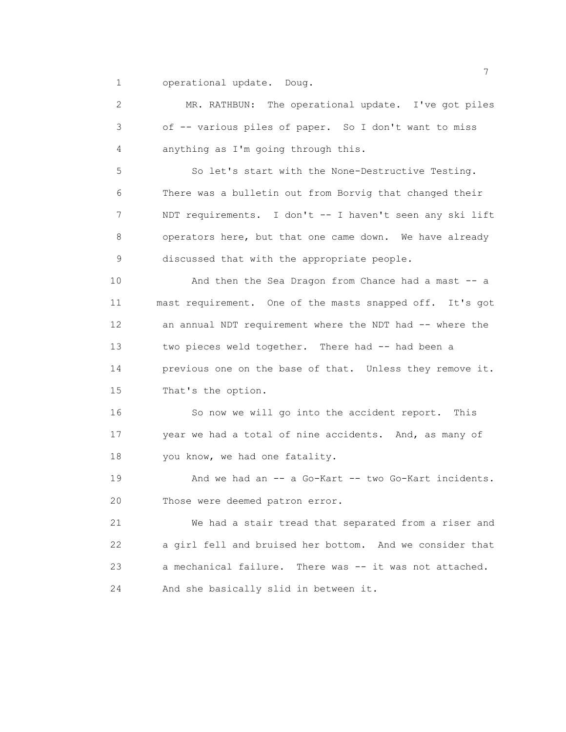1 operational update. Doug.

 2 MR. RATHBUN: The operational update. I've got piles 3 of -- various piles of paper. So I don't want to miss 4 anything as I'm going through this.

 5 So let's start with the None-Destructive Testing. 6 There was a bulletin out from Borvig that changed their 7 NDT requirements. I don't -- I haven't seen any ski lift 8 operators here, but that one came down. We have already 9 discussed that with the appropriate people.

10 And then the Sea Dragon from Chance had a mast -- a 11 mast requirement. One of the masts snapped off. It's got 12 an annual NDT requirement where the NDT had -- where the 13 two pieces weld together. There had -- had been a 14 previous one on the base of that. Unless they remove it. 15 That's the option.

 16 So now we will go into the accident report. This 17 year we had a total of nine accidents. And, as many of 18 you know, we had one fatality.

19 And we had an -- a Go-Kart -- two Go-Kart incidents. 20 Those were deemed patron error.

 21 We had a stair tread that separated from a riser and 22 a girl fell and bruised her bottom. And we consider that 23 a mechanical failure. There was -- it was not attached. 24 And she basically slid in between it.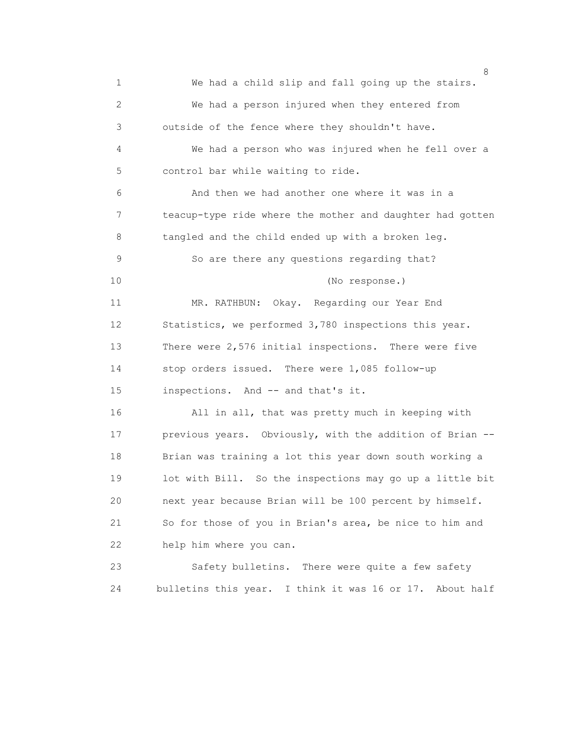8 1 We had a child slip and fall going up the stairs. 2 We had a person injured when they entered from 3 outside of the fence where they shouldn't have. 4 We had a person who was injured when he fell over a 5 control bar while waiting to ride. 6 And then we had another one where it was in a 7 teacup-type ride where the mother and daughter had gotten 8 tangled and the child ended up with a broken leg. 9 So are there any questions regarding that? 10 (No response.) 11 MR. RATHBUN: Okay. Regarding our Year End 12 Statistics, we performed 3,780 inspections this year. 13 There were 2,576 initial inspections. There were five 14 stop orders issued. There were 1,085 follow-up 15 inspections. And -- and that's it. 16 All in all, that was pretty much in keeping with 17 previous years. Obviously, with the addition of Brian -- 18 Brian was training a lot this year down south working a 19 lot with Bill. So the inspections may go up a little bit 20 next year because Brian will be 100 percent by himself. 21 So for those of you in Brian's area, be nice to him and 22 help him where you can. 23 Safety bulletins. There were quite a few safety 24 bulletins this year. I think it was 16 or 17. About half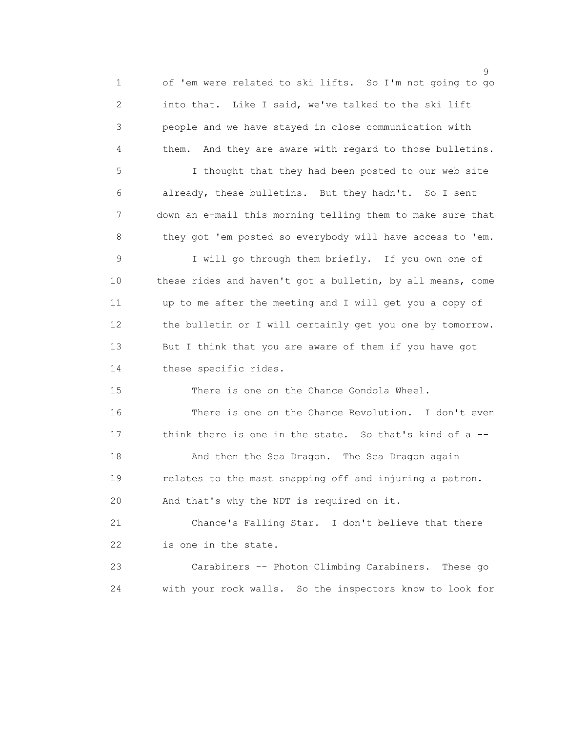en de la construction de la construction de la construction de la construction de la construction de la constr<br>1990 : la construction de la construction de la construction de la construction de la construction de la const 1 of 'em were related to ski lifts. So I'm not going to go 2 into that. Like I said, we've talked to the ski lift 3 people and we have stayed in close communication with 4 them. And they are aware with regard to those bulletins. 5 I thought that they had been posted to our web site 6 already, these bulletins. But they hadn't. So I sent 7 down an e-mail this morning telling them to make sure that 8 they got 'em posted so everybody will have access to 'em. 9 I will go through them briefly. If you own one of 10 these rides and haven't got a bulletin, by all means, come 11 up to me after the meeting and I will get you a copy of 12 the bulletin or I will certainly get you one by tomorrow. 13 But I think that you are aware of them if you have got 14 these specific rides. 15 There is one on the Chance Gondola Wheel. 16 There is one on the Chance Revolution. I don't even 17 think there is one in the state. So that's kind of a -- 18 And then the Sea Dragon. The Sea Dragon again 19 relates to the mast snapping off and injuring a patron. 20 And that's why the NDT is required on it. 21 Chance's Falling Star. I don't believe that there 22 is one in the state.

 23 Carabiners -- Photon Climbing Carabiners. These go 24 with your rock walls. So the inspectors know to look for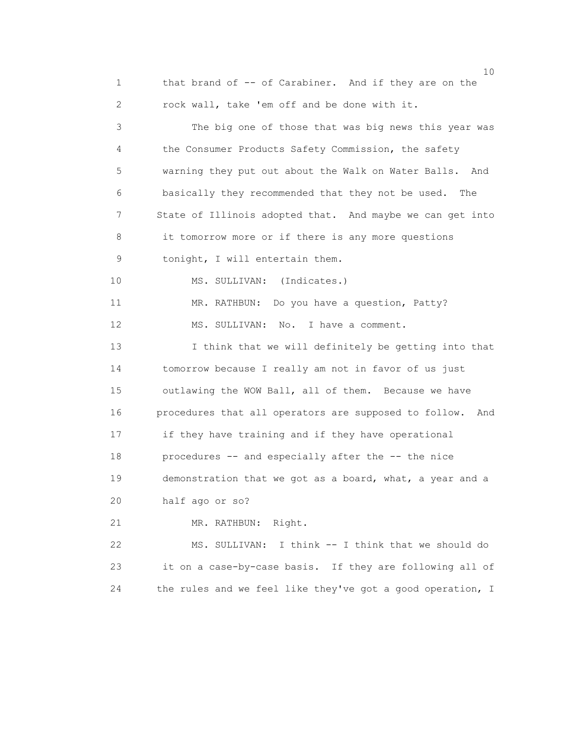1 that brand of -- of Carabiner. And if they are on the 2 rock wall, take 'em off and be done with it.

 3 The big one of those that was big news this year was 4 the Consumer Products Safety Commission, the safety 5 warning they put out about the Walk on Water Balls. And 6 basically they recommended that they not be used. The 7 State of Illinois adopted that. And maybe we can get into 8 it tomorrow more or if there is any more questions 9 tonight, I will entertain them. 10 MS. SULLIVAN: (Indicates.) 11 MR. RATHBUN: Do you have a question, Patty? 12 MS. SULLIVAN: No. I have a comment. 13 I think that we will definitely be getting into that 14 tomorrow because I really am not in favor of us just 15 outlawing the WOW Ball, all of them. Because we have 16 procedures that all operators are supposed to follow. And 17 if they have training and if they have operational 18 procedures -- and especially after the -- the nice 19 demonstration that we got as a board, what, a year and a 20 half ago or so? 21 MR. RATHBUN: Right. 22 MS. SULLIVAN: I think -- I think that we should do 23 it on a case-by-case basis. If they are following all of

24 the rules and we feel like they've got a good operation, I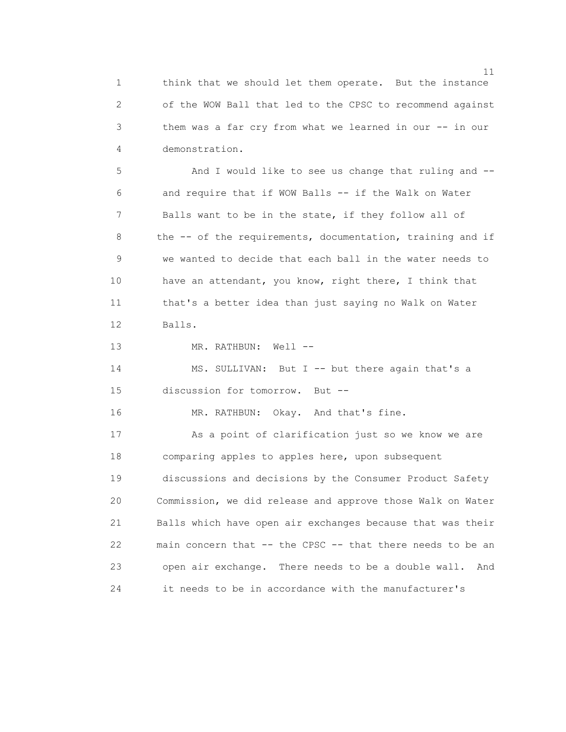1 think that we should let them operate. But the instance 2 of the WOW Ball that led to the CPSC to recommend against 3 them was a far cry from what we learned in our -- in our 4 demonstration.

 5 And I would like to see us change that ruling and -- 6 and require that if WOW Balls -- if the Walk on Water 7 Balls want to be in the state, if they follow all of 8 the -- of the requirements, documentation, training and if 9 we wanted to decide that each ball in the water needs to 10 have an attendant, you know, right there, I think that 11 that's a better idea than just saying no Walk on Water 12 Balls.

13 MR. RATHBUN: Well --

 14 MS. SULLIVAN: But I -- but there again that's a 15 discussion for tomorrow. But --

16 MR. RATHBUN: Okay. And that's fine.

 17 As a point of clarification just so we know we are 18 comparing apples to apples here, upon subsequent 19 discussions and decisions by the Consumer Product Safety 20 Commission, we did release and approve those Walk on Water 21 Balls which have open air exchanges because that was their 22 main concern that -- the CPSC -- that there needs to be an 23 open air exchange. There needs to be a double wall. And 24 it needs to be in accordance with the manufacturer's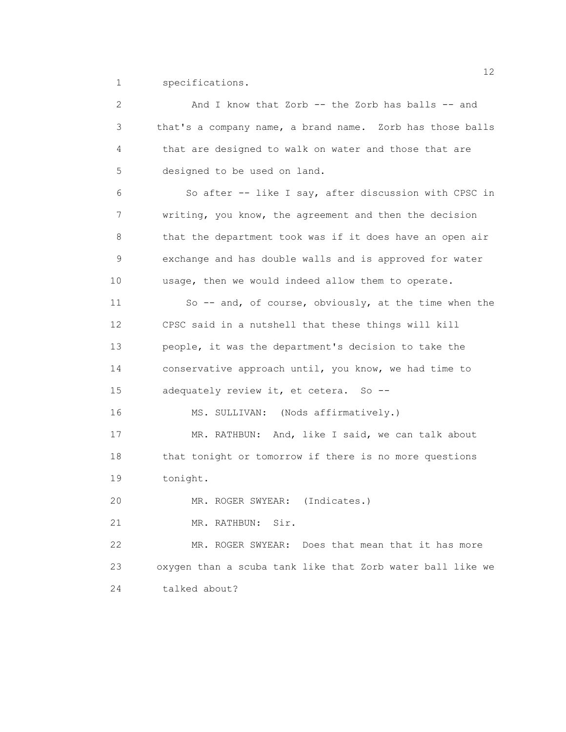1 specifications.

| $\mathbf{2}$ | And I know that Zorb -- the Zorb has balls -- and          |
|--------------|------------------------------------------------------------|
| 3            | that's a company name, a brand name. Zorb has those balls  |
| 4            | that are designed to walk on water and those that are      |
| 5            | designed to be used on land.                               |
| 6            | So after -- like I say, after discussion with CPSC in      |
| 7            | writing, you know, the agreement and then the decision     |
| 8            | that the department took was if it does have an open air   |
| 9            | exchange and has double walls and is approved for water    |
| 10           | usage, then we would indeed allow them to operate.         |
| 11           | So -- and, of course, obviously, at the time when the      |
| 12           | CPSC said in a nutshell that these things will kill        |
| 13           | people, it was the department's decision to take the       |
| 14           | conservative approach until, you know, we had time to      |
| 15           | adequately review it, et cetera. So --                     |
| 16           | MS. SULLIVAN: (Nods affirmatively.)                        |
| 17           | MR. RATHBUN: And, like I said, we can talk about           |
| 18           | that tonight or tomorrow if there is no more questions     |
| 19           | tonight.                                                   |
| 20           | (Indicates.)<br>MR. ROGER SWYEAR:                          |
| 21           | Sir.<br>MR. RATHBUN:                                       |
| 22           | MR. ROGER SWYEAR:<br>Does that mean that it has more       |
| 23           | oxygen than a scuba tank like that Zorb water ball like we |
| 24           | talked about?                                              |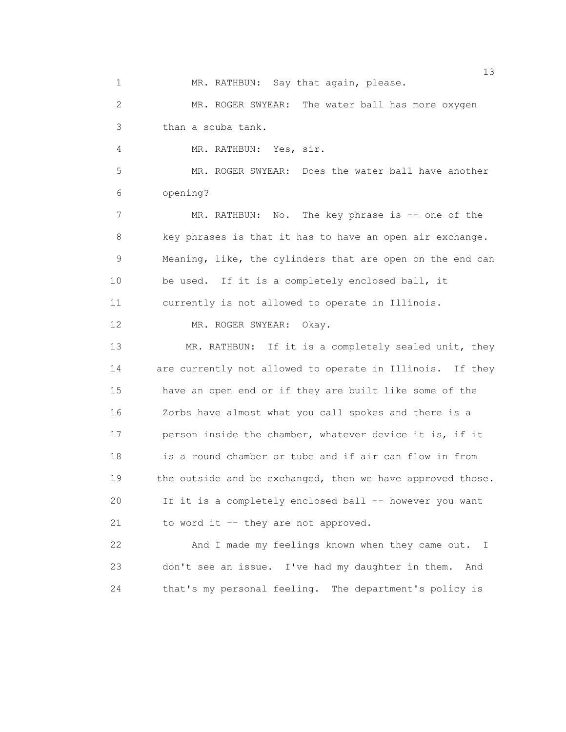1 MR. RATHBUN: Say that again, please.

 2 MR. ROGER SWYEAR: The water ball has more oxygen 3 than a scuba tank.

4 MR. RATHBUN: Yes, sir.

 5 MR. ROGER SWYEAR: Does the water ball have another 6 opening?

7 MR. RATHBUN: No. The key phrase is -- one of the 8 key phrases is that it has to have an open air exchange. 9 Meaning, like, the cylinders that are open on the end can 10 be used. If it is a completely enclosed ball, it

11 currently is not allowed to operate in Illinois.

12 MR. ROGER SWYEAR: Okay.

13 MR. RATHBUN: If it is a completely sealed unit, they 14 are currently not allowed to operate in Illinois. If they 15 have an open end or if they are built like some of the 16 Zorbs have almost what you call spokes and there is a 17 person inside the chamber, whatever device it is, if it 18 is a round chamber or tube and if air can flow in from 19 the outside and be exchanged, then we have approved those. 20 If it is a completely enclosed ball -- however you want 21 to word it -- they are not approved.

 22 And I made my feelings known when they came out. I 23 don't see an issue. I've had my daughter in them. And 24 that's my personal feeling. The department's policy is

13<sup>3</sup>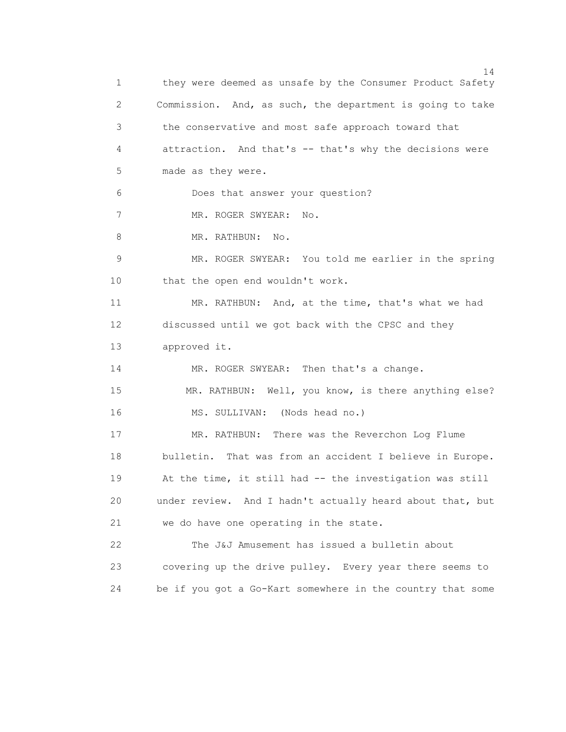14 1 they were deemed as unsafe by the Consumer Product Safety 2 Commission. And, as such, the department is going to take 3 the conservative and most safe approach toward that 4 attraction. And that's -- that's why the decisions were 5 made as they were. 6 Does that answer your question? 7 MR. ROGER SWYEAR: No. 8 MR. RATHBUN: No. 9 MR. ROGER SWYEAR: You told me earlier in the spring 10 that the open end wouldn't work. 11 MR. RATHBUN: And, at the time, that's what we had 12 discussed until we got back with the CPSC and they 13 approved it. 14 MR. ROGER SWYEAR: Then that's a change. 15 MR. RATHBUN: Well, you know, is there anything else? 16 MS. SULLIVAN: (Nods head no.) 17 MR. RATHBUN: There was the Reverchon Log Flume 18 bulletin. That was from an accident I believe in Europe. 19 At the time, it still had -- the investigation was still 20 under review. And I hadn't actually heard about that, but 21 we do have one operating in the state. 22 The J&J Amusement has issued a bulletin about 23 covering up the drive pulley. Every year there seems to 24 be if you got a Go-Kart somewhere in the country that some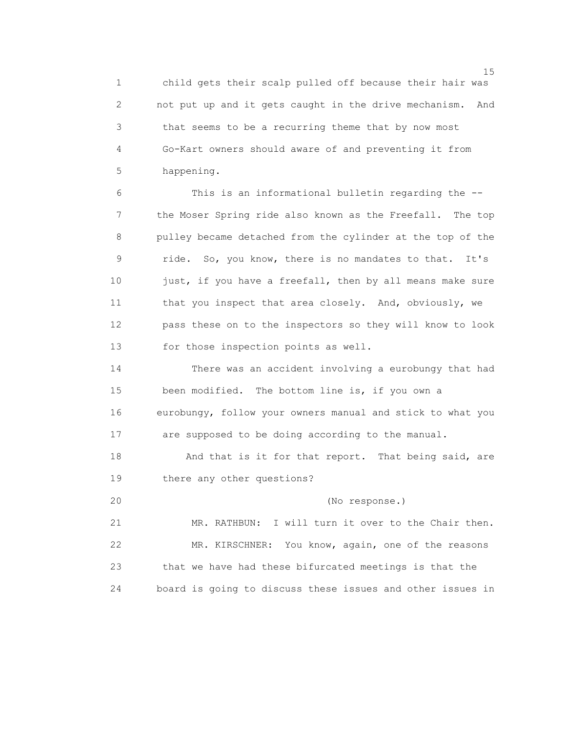1 child gets their scalp pulled off because their hair was 2 not put up and it gets caught in the drive mechanism. And 3 that seems to be a recurring theme that by now most 4 Go-Kart owners should aware of and preventing it from 5 happening.

 6 This is an informational bulletin regarding the -- 7 the Moser Spring ride also known as the Freefall. The top 8 pulley became detached from the cylinder at the top of the 9 ride. So, you know, there is no mandates to that. It's 10 just, if you have a freefall, then by all means make sure 11 that you inspect that area closely. And, obviously, we 12 pass these on to the inspectors so they will know to look 13 for those inspection points as well.

 14 There was an accident involving a eurobungy that had 15 been modified. The bottom line is, if you own a 16 eurobungy, follow your owners manual and stick to what you 17 are supposed to be doing according to the manual.

18 And that is it for that report. That being said, are 19 there any other questions?

20 (No response.)

 21 MR. RATHBUN: I will turn it over to the Chair then. 22 MR. KIRSCHNER: You know, again, one of the reasons 23 that we have had these bifurcated meetings is that the 24 board is going to discuss these issues and other issues in

15 and 15 and 15 and 15 and 15 and 15 and 15 and 15 and 15 and 15 and 15 and 15 and 15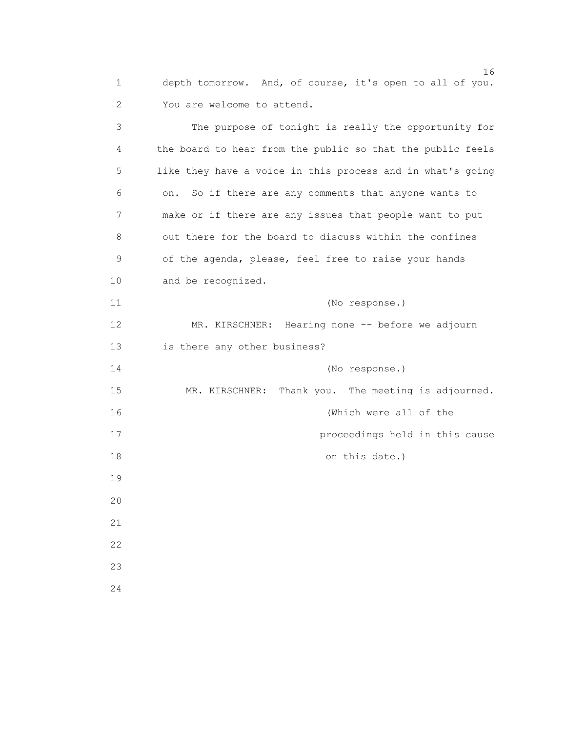1 depth tomorrow. And, of course, it's open to all of you. 2 You are welcome to attend.

 3 The purpose of tonight is really the opportunity for 4 the board to hear from the public so that the public feels 5 like they have a voice in this process and in what's going 6 on. So if there are any comments that anyone wants to 7 make or if there are any issues that people want to put 8 out there for the board to discuss within the confines 9 of the agenda, please, feel free to raise your hands 10 and be recognized. 11 (No response.) 12 MR. KIRSCHNER: Hearing none -- before we adjourn 13 is there any other business? 14 (No response.) 15 MR. KIRSCHNER: Thank you. The meeting is adjourned. 16 (Which were all of the 17 proceedings held in this cause 18 on this date.) 19 20 21 22 23 24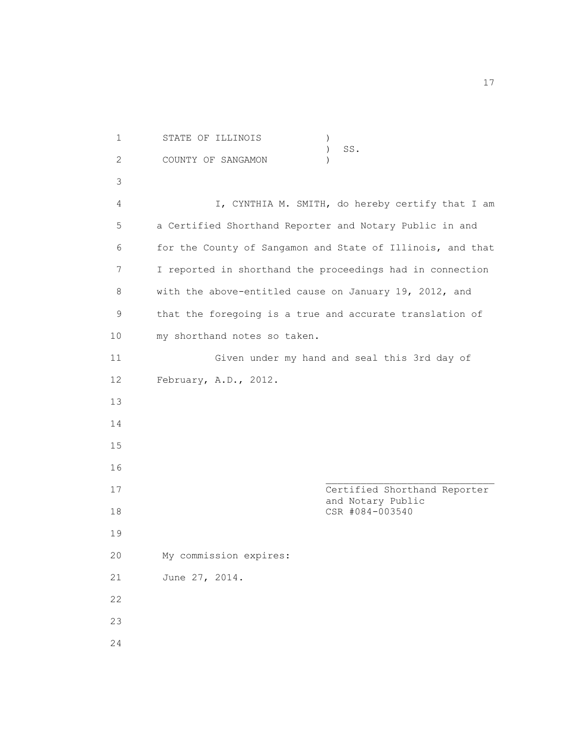1 STATE OF ILLINOIS ) ) SS. 2 COUNTY OF SANGAMON ) 3 4 I, CYNTHIA M. SMITH, do hereby certify that I am 5 a Certified Shorthand Reporter and Notary Public in and 6 for the County of Sangamon and State of Illinois, and that 7 I reported in shorthand the proceedings had in connection 8 with the above-entitled cause on January 19, 2012, and 9 that the foregoing is a true and accurate translation of 10 my shorthand notes so taken. 11 Given under my hand and seal this 3rd day of 12 February, A.D., 2012. 13 14 15 16 17 Certified Shorthand Reporter and Notary Public 18 CSR #084-003540 19 20 My commission expires: 21 June 27, 2014. 22 23 24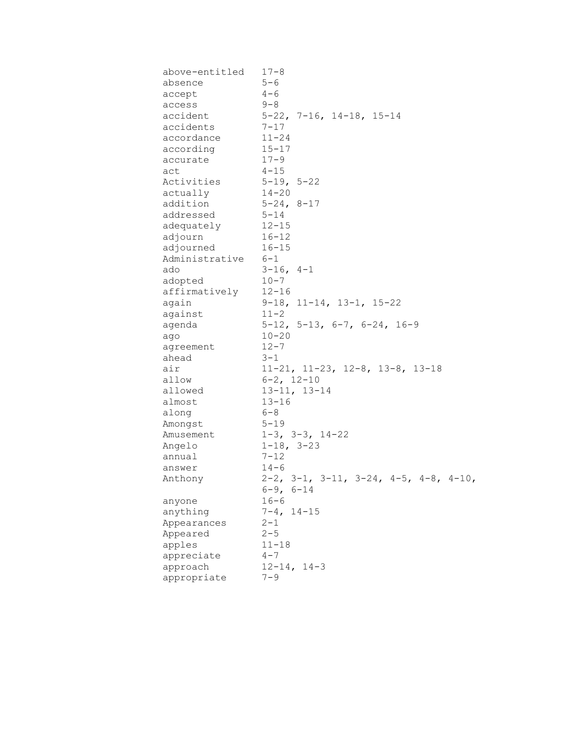| above-entitled | $17 - 8$                                                                         |
|----------------|----------------------------------------------------------------------------------|
| absence        | $5 - 6$                                                                          |
| accept         | $4 - 6$                                                                          |
| access         | $9 - 8$                                                                          |
| accident       | $5-22$ , 7-16, 14-18, 15-14                                                      |
| accidents      | $7 - 17$                                                                         |
| accordance     | $11 - 24$                                                                        |
| according      | $15 - 17$                                                                        |
| accurate       | $17 - 9$                                                                         |
| act            | $4 - 15$                                                                         |
| Activities     | $5 - 19, 5 - 22$                                                                 |
| actually       | $14 - 20$                                                                        |
| addition       | $5 - 24, 8 - 17$                                                                 |
| addressed      | $5 - 14$                                                                         |
| adequately     | $12 - 15$                                                                        |
| adjourn        | $16 - 12$                                                                        |
| adjourned      | $16 - 15$                                                                        |
| Administrative | $6 - 1$                                                                          |
| ado            | $3-16$ , $4-1$                                                                   |
| adopted        | $10 - 7$                                                                         |
| affirmatively  | $12 - 16$                                                                        |
| again          | $9-18$ , 11-14, 13-1, 15-22                                                      |
| against        | $11 - 2$                                                                         |
| agenda         | $5-12$ , $5-13$ , $6-7$ , $6-24$ , $16-9$                                        |
| ago            | $10 - 20$                                                                        |
| agreement      | $12 - 7$                                                                         |
| ahead          | $3 - 1$                                                                          |
| air            | $11-21$ , $11-23$ , $12-8$ , $13-8$ , $13-18$                                    |
| allow          | $6 - 2$ , $12 - 10$                                                              |
| allowed        | $13 - 11, 13 - 14$                                                               |
| almost         | $13 - 16$                                                                        |
| along          | $6 - 8$                                                                          |
| Amongst        | $5 - 19$                                                                         |
| Amusement      | $1-3$ , $3-3$ , $14-22$                                                          |
| Angelo         | $1-18$ , $3-23$                                                                  |
| annual         | $7 - 12$                                                                         |
| answer         | $14 - 6$                                                                         |
| Anthony        | $2-2$ , $3-1$ , $3-11$ , $3-24$ , $4-5$ , $4-8$ , $4-10$ ,<br>$6 - 9$ , $6 - 14$ |
| anyone         | $16 - 6$                                                                         |
| anything       | $7 - 4$ , $14 - 15$                                                              |
| Appearances    | $2 - 1$                                                                          |
| Appeared       | $2 - 5$                                                                          |
| apples         | $11 - 18$                                                                        |
| appreciate     | $4 - 7$                                                                          |
| approach       | $12 - 14, 14 - 3$                                                                |
| appropriate    | $7 - 9$                                                                          |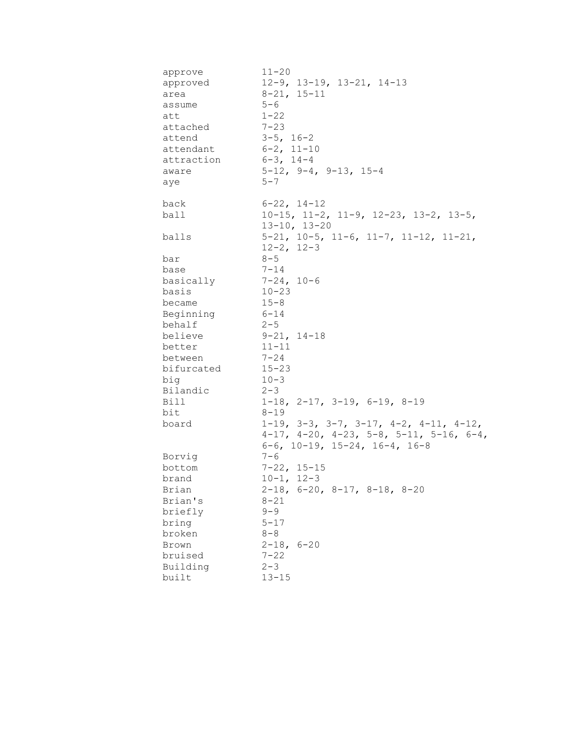| approve    | $11 - 20$                                                    |
|------------|--------------------------------------------------------------|
| approved   | $12-9$ , $13-19$ , $13-21$ , $14-13$                         |
| area       | $8 - 21, 15 - 11$                                            |
| assume     | $5 - 6$                                                      |
| att        | $1 - 22$                                                     |
| attached   | $7 - 23$                                                     |
| attend     | $3-5$ , $16-2$                                               |
| attendant  | $6 - 2$ , $11 - 10$                                          |
| attraction | $6 - 3$ , 14-4                                               |
| aware      | $5-12$ , $9-4$ , $9-13$ , $15-4$                             |
| aye        | $5 - 7$                                                      |
| back       | $6 - 22$ , $14 - 12$                                         |
| ball       | $10-15$ , $11-2$ , $11-9$ , $12-23$ , $13-2$ , $13-5$ ,      |
|            | $13 - 10, 13 - 20$                                           |
| balls      | $5-21$ , $10-5$ , $11-6$ , $11-7$ , $11-12$ , $11-21$ ,      |
|            | $12 - 2$ , $12 - 3$                                          |
| bar        | $8 - 5$                                                      |
| base       | $7 - 14$                                                     |
| basically  | $7 - 24, 10 - 6$                                             |
| basis      | $10 - 23$                                                    |
| became     | $15 - 8$                                                     |
| Beginning  | $6 - 14$                                                     |
| behalf     | $2 - 5$                                                      |
| believe    | $9 - 21, 14 - 18$                                            |
| better     | $11 - 11$                                                    |
| between    | $7 - 24$                                                     |
| bifurcated | $15 - 23$                                                    |
| big        | $10 - 3$                                                     |
| Bilandic   | $2 - 3$                                                      |
| Bill       | $1-18$ , $2-17$ , $3-19$ , $6-19$ , $8-19$                   |
| bit        | $8 - 19$                                                     |
| board      | $1-19$ , $3-3$ , $3-7$ , $3-17$ , $4-2$ , $4-11$ , $4-12$ ,  |
|            | $4-17$ , $4-20$ , $4-23$ , $5-8$ , $5-11$ , $5-16$ , $6-4$ , |
|            | $6-6$ , 10-19, 15-24, 16-4, 16-8                             |
| Borvig     | $7 - 6$                                                      |
| bottom     | $7 - 22, 15 - 15$                                            |
| brand      | $10 - 1$ , $12 - 3$                                          |
| Brian      | $2-18$ , 6-20, 8-17, 8-18, 8-20                              |
| Brian's    | $8 - 21$                                                     |
| briefly    | $9 - 9$                                                      |
| bring      | $5 - 17$                                                     |
| broken     | $8 - 8$                                                      |
| Brown      | $2 - 18, 6 - 20$                                             |
| bruised    | $7 - 22$                                                     |
| Building   | $2 - 3$                                                      |
| built      | $13 - 15$                                                    |
|            |                                                              |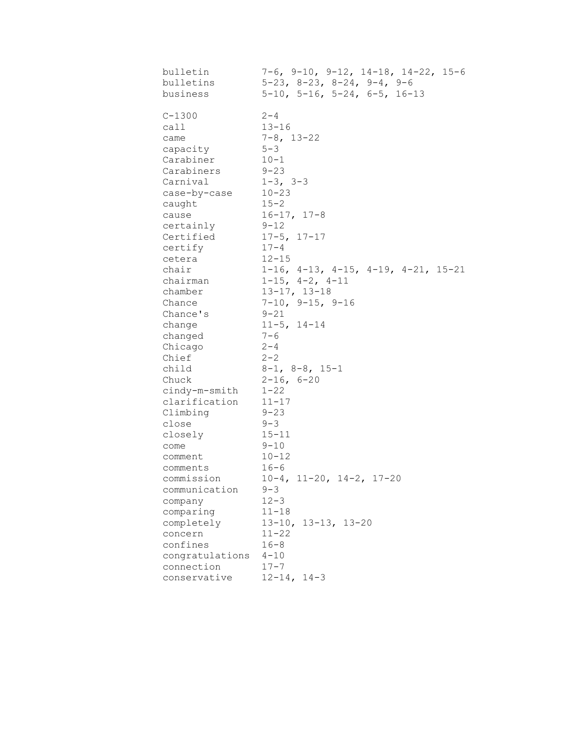| bulletin        | $7-6$ , $9-10$ , $9-12$ , $14-18$ , $14-22$ , $15-6$ |
|-----------------|------------------------------------------------------|
| bulletins       | $5-23$ , $8-23$ , $8-24$ , $9-4$ , $9-6$             |
| business        | $5-10$ , $5-16$ , $5-24$ , $6-5$ , $16-13$           |
| $C - 1300$      | $2 - 4$                                              |
| call            | $13 - 16$                                            |
| came            | $7 - 8$ , 13-22                                      |
| capacity        | $5 - 3$                                              |
| Carabiner       | $10 - 1$                                             |
| Carabiners      | $9 - 23$                                             |
| Carnival        | $1 - 3$ , $3 - 3$                                    |
| case-by-case    | $10 - 23$                                            |
| caught          | $15 - 2$                                             |
| cause           | $16 - 17, 17 - 8$                                    |
| certainly       | $9 - 12$                                             |
| Certified       | $17 - 5$ , $17 - 17$                                 |
| certify         | $17 - 4$                                             |
| cetera          | $12 - 15$                                            |
| chair           | $1-16$ , $4-13$ , $4-15$ , $4-19$ , $4-21$ , $15-21$ |
| chairman        | $1-15$ , $4-2$ , $4-11$                              |
| chamber         | $13 - 17, 13 - 18$                                   |
| Chance          | $7-10$ , $9-15$ , $9-16$                             |
| Chance's        | $9 - 21$                                             |
| change          | $11 - 5$ , $14 - 14$                                 |
| changed         | $7 - 6$                                              |
| Chicago         | $2 - 4$                                              |
| Chief           | $2 - 2$                                              |
| child           | $8-1$ , $8-8$ , $15-1$                               |
| Chuck           | $2 - 16$ , 6-20                                      |
| cindy-m-smith   | $1 - 22$                                             |
| clarification   | $11 - 17$                                            |
| Climbing        | $9 - 23$                                             |
| close           | $9 - 3$                                              |
| closely         | $15 - 11$                                            |
| come            | $9 - 10$                                             |
| comment         | $10 - 12$                                            |
| comments        | $16 - 6$                                             |
| commission      | $10-4$ , $11-20$ , $14-2$ , $17-20$                  |
| communication   | $9 - 3$                                              |
| company         | $12 - 3$                                             |
| comparing       | $11 - 18$                                            |
| completely      | 13-10, 13-13, 13-20                                  |
| concern         | $11 - 22$                                            |
| confines        | $16 - 8$                                             |
| congratulations | $4 - 10$                                             |
| connection      | $17 - 7$                                             |
| conservative    | $12 - 14, 14 - 3$                                    |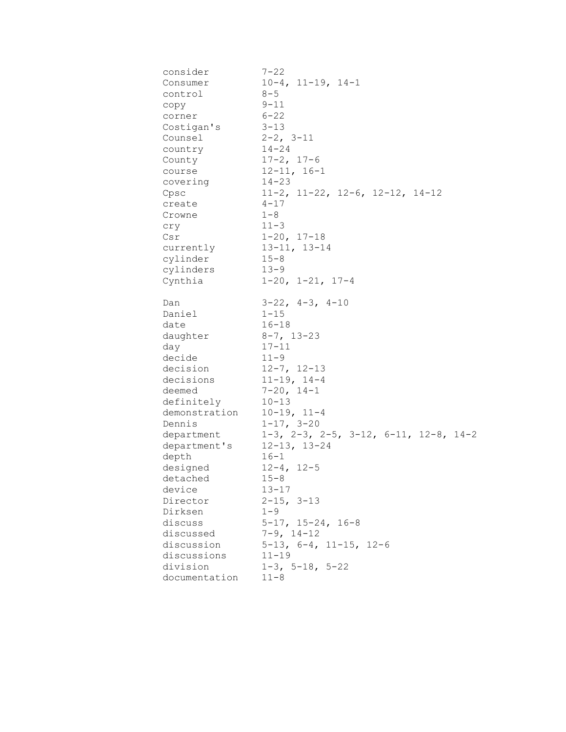| consider      | $7 - 22$                                                  |
|---------------|-----------------------------------------------------------|
| Consumer      | $10-4$ , $11-19$ , $14-1$                                 |
| control       | $8 - 5$                                                   |
| сору          | $9 - 11$                                                  |
| corner        | $6 - 22$                                                  |
| Costigan's    | $3 - 13$                                                  |
| Counsel       | $2-2$ , $3-11$                                            |
| country       | $14 - 24$                                                 |
| County        | $17 - 2, 17 - 6$                                          |
| course        | $12 - 11, 16 - 1$                                         |
| covering      | $14 - 23$                                                 |
| Cpsc          | $11-2$ , $11-22$ , $12-6$ , $12-12$ , $14-12$             |
| create        | $4 - 17$                                                  |
| Crowne        | $1 - 8$                                                   |
| cry           | $11 - 3$                                                  |
| Csr           | $1 - 20, 17 - 18$                                         |
| currently     | $13 - 11, 13 - 14$                                        |
| cylinder      | $15 - 8$                                                  |
| cylinders     | $13 - 9$                                                  |
| Cynthia       | $1-20$ , $1-21$ , $17-4$                                  |
| Dan           | $3-22$ , $4-3$ , $4-10$                                   |
| Daniel        | $1 - 15$                                                  |
| date          | $16 - 18$                                                 |
| daughter      | $8 - 7$ , 13-23                                           |
| day           | $17 - 11$                                                 |
| decide        | $11 - 9$                                                  |
| decision      | $12 - 7$ , $12 - 13$                                      |
| decisions     | $11 - 19, 14 - 4$                                         |
| deemed        | $7 - 20$ , $14 - 1$                                       |
| definitely    | $10 - 13$                                                 |
| demonstration | $10-19, 11-4$                                             |
| Dennis        | $1 - 17, 3 - 20$                                          |
| department    | $1-3$ , $2-3$ , $2-5$ , $3-12$ , $6-11$ , $12-8$ , $14-2$ |
| department's  | $12 - 13$ , $13 - 24$                                     |
| depth         | $16 - 1$                                                  |
| designed      | $12 - 4, 12 - 5$                                          |
| detached      | $15 - 8$                                                  |
| device        | $13 - 17$                                                 |
| Director      | $2 - 15$ , $3 - 13$                                       |
| Dirksen       | $1 - 9$                                                   |
| discuss       | $5-17$ , $15-24$ , $16-8$                                 |
| discussed     | $7-9$ , $14-12$                                           |
| discussion    | $5-13$ , $6-4$ , $11-15$ , $12-6$                         |
| discussions   | $11 - 19$                                                 |
| division      | $1-3$ , $5-18$ , $5-22$                                   |
| documentation | $11 - 8$                                                  |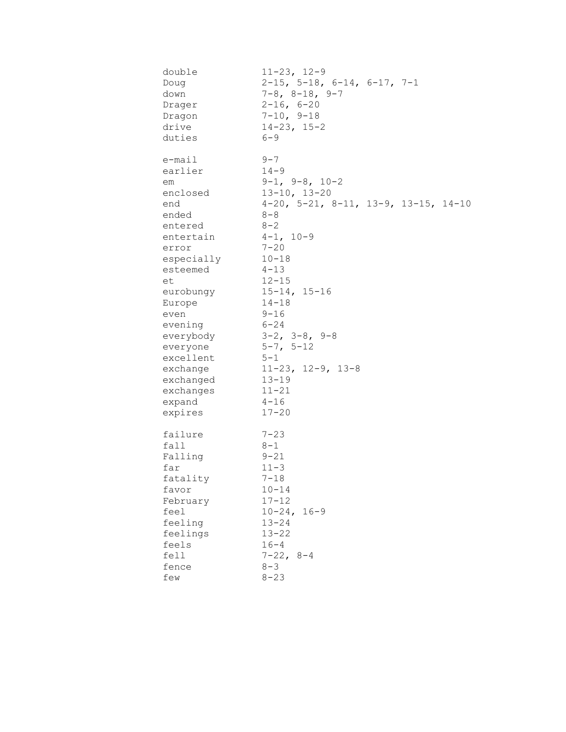| double     | $11 - 23, 12 - 9$                                     |
|------------|-------------------------------------------------------|
| Doug       | $2-15$ , 5-18, 6-14, 6-17, 7-1                        |
| down       | $7 - 8$ , $8 - 18$ , $9 - 7$                          |
| Drager     | $2 - 16, 6 - 20$                                      |
| Dragon     | $7-10, 9-18$                                          |
| drive      | $14 - 23$ , $15 - 2$                                  |
| duties     | $6 - 9$                                               |
| e-mail     | $9 - 7$                                               |
| earlier    | $14 - 9$                                              |
| em         | $9-1, 9-8, 10-2$                                      |
| enclosed   | $13 - 10, 13 - 20$                                    |
| end        | $4-20$ , $5-21$ , $8-11$ , $13-9$ , $13-15$ , $14-10$ |
| ended      | $8 - 8$                                               |
| entered    | $8 - 2$                                               |
| entertain  | $4-1, 10-9$                                           |
| error      | $7 - 20$                                              |
| especially | $10 - 18$                                             |
| esteemed   | $4 - 13$                                              |
| et         | $12 - 15$                                             |
| eurobungy  | $15 - 14, 15 - 16$                                    |
| Europe     | $14 - 18$                                             |
| even       | $9 - 16$                                              |
| evening    | $6 - 24$                                              |
| everybody  | $3-2$ , $3-8$ , $9-8$                                 |
| everyone   | $5 - 7, 5 - 12$                                       |
| excellent  | $5 - 1$                                               |
| exchange   | $11-23$ , $12-9$ , $13-8$                             |
| exchanged  | $13 - 19$                                             |
| exchanges  | $11 - 21$                                             |
| expand     | $4 - 16$                                              |
| expires    | $17 - 20$                                             |
| failure    | $7 - 23$                                              |
| fall       | $8 - 1$                                               |
| Falling    | $9 - 21$                                              |
| far        | $11 - 3$                                              |
| fatality   | $7 - 18$                                              |
| favor      | $10 - 14$                                             |
| February   | $17 - 12$                                             |
| feel       | $10 - 24$ ,<br>$16 - 9$                               |
| feeling    | $13 - 24$                                             |
| feelings   | $13 - 22$                                             |
| feels      | $16 - 4$                                              |
| fell       | $7 - 22, 8 - 4$                                       |
| fence      | $8 - 3$                                               |
| few        | $8 - 23$                                              |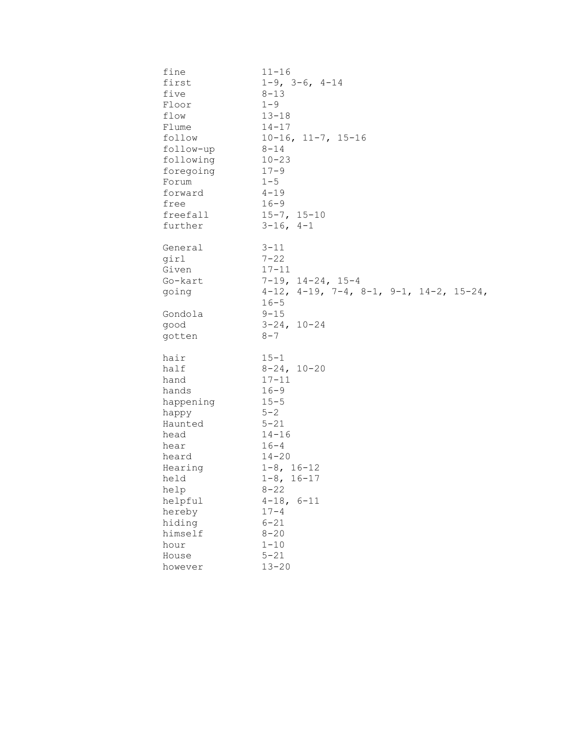| fine    | $11 - 16$              |                                                              |  |
|---------|------------------------|--------------------------------------------------------------|--|
| first   |                        | $1 - 9$ , $3 - 6$ , $4 - 14$                                 |  |
| five    | $8 - 13$               |                                                              |  |
| Floor   | $1 - 9$                |                                                              |  |
| flow    | $13 - 18$              |                                                              |  |
| Flume   | $14 - 17$              |                                                              |  |
| follow  |                        | $10-16$ , $11-7$ , $15-16$                                   |  |
|         | $8 - 14$<br>follow-up  |                                                              |  |
|         | following<br>$10 - 23$ |                                                              |  |
|         | $17 - 9$<br>foregoing  |                                                              |  |
| Forum   | $1 - 5$                |                                                              |  |
| forward | $4 - 19$               |                                                              |  |
| free    | $16 - 9$               |                                                              |  |
|         | freefall               | $15 - 7, 15 - 10$                                            |  |
| further |                        | $3-16$ , $4-1$                                               |  |
|         |                        |                                                              |  |
| General | $3 - 11$               |                                                              |  |
| girl    | $7 - 22$               |                                                              |  |
| Given   | $17 - 11$              |                                                              |  |
| Go-kart |                        | $7-19$ , $14-24$ , $15-4$                                    |  |
| going   |                        | $4-12$ , $4-19$ , $7-4$ , $8-1$ , $9-1$ , $14-2$ , $15-24$ , |  |
|         | $16 - 5$               |                                                              |  |
| Gondola | $9 - 15$               |                                                              |  |
| good    |                        | $3 - 24, 10 - 24$                                            |  |
| gotten  | $8 - 7$                |                                                              |  |
|         |                        |                                                              |  |
| hair    | $15 - 1$               |                                                              |  |
| half    |                        | $8-24, 10-20$                                                |  |
| hand    | $17 - 11$              |                                                              |  |
| hands   | $16 - 9$               |                                                              |  |
|         | happening<br>$15 - 5$  |                                                              |  |
| happy   | $5 - 2$                |                                                              |  |
| Haunted | $5 - 21$               |                                                              |  |
| head    | $14 - 16$              |                                                              |  |
| hear    | $16 - 4$               |                                                              |  |
| heard   | $14 - 20$              |                                                              |  |
| Hearing |                        | $1 - 8$ , $16 - 12$                                          |  |
| held    |                        | $1 - 8$ , $16 - 17$                                          |  |
| help    | $8 - 22$               |                                                              |  |
| helpful |                        | $4 - 18, 6 - 11$                                             |  |
| hereby  | $17 - 4$               |                                                              |  |
| hiding  | $6 - 21$               |                                                              |  |
| himself | $8 - 20$               |                                                              |  |
| hour    | $1 - 10$               |                                                              |  |
| House   | $5 - 21$               |                                                              |  |
| however | $13 - 20$              |                                                              |  |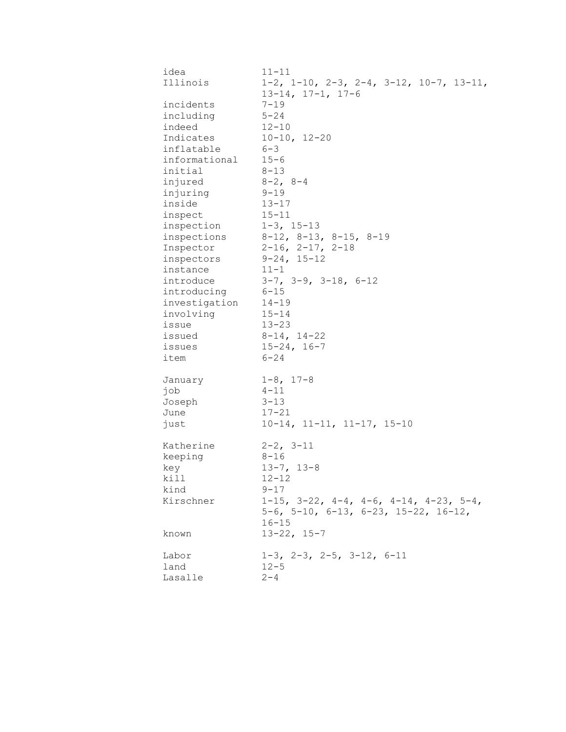| idea          | $11 - 11$                                                    |
|---------------|--------------------------------------------------------------|
| Illinois      | $1-2$ , $1-10$ , $2-3$ , $2-4$ , $3-12$ , $10-7$ , $13-11$ , |
|               | $13-14$ , $17-1$ , $17-6$                                    |
| incidents     | $7 - 19$                                                     |
| including     | $5 - 24$                                                     |
| indeed        | $12 - 10$                                                    |
| Indicates     | $10 - 10, 12 - 20$                                           |
| inflatable    | $6 - 3$                                                      |
| informational | $15 - 6$                                                     |
| initial       | $8 - 13$                                                     |
| injured       | $8-2$ , $8-4$                                                |
| injuring      | $9 - 19$                                                     |
| inside        | $13 - 17$                                                    |
|               | $15 - 11$                                                    |
| inspect       |                                                              |
| inspection    | $1 - 3$ , $15 - 13$                                          |
| inspections   | $8-12$ , $8-13$ , $8-15$ , $8-19$                            |
| Inspector     | $2-16$ , $2-17$ , $2-18$                                     |
| inspectors    | $9 - 24, 15 - 12$                                            |
| instance      | $11 - 1$                                                     |
| introduce     | $3-7$ , $3-9$ , $3-18$ , $6-12$                              |
| introducing   | $6 - 15$                                                     |
| investigation | $14 - 19$                                                    |
| involving     | $15 - 14$                                                    |
| issue         | $13 - 23$                                                    |
| issued        | $8 - 14, 14 - 22$                                            |
| issues        | $15 - 24, 16 - 7$                                            |
| item          | $6 - 24$                                                     |
| January       | $1 - 8$ , $17 - 8$                                           |
| job           | $4 - 11$                                                     |
| Joseph        | $3 - 13$                                                     |
| June          | $17 - 21$                                                    |
| just          | $10-14$ , $11-11$ , $11-17$ , $15-10$                        |
| Katherine     | $2 - 2, 3 - 11$                                              |
| keeping       | $8 - 16$                                                     |
| key           | $13 - 7, 13 - 8$                                             |
| kill          | $12 - 12$                                                    |
| kind          | $9 - 17$                                                     |
| Kirschner     | $1-15$ , $3-22$ , $4-4$ , $4-6$ , $4-14$ , $4-23$ , $5-4$ ,  |
|               | $5-6$ , $5-10$ , $6-13$ , $6-23$ , $15-22$ , $16-12$ ,       |
|               | $16 - 15$                                                    |
| known         | $13 - 22, 15 - 7$                                            |
| Labor         | $1-3$ , $2-3$ , $2-5$ , $3-12$ , $6-11$                      |
| land          | $12 - 5$                                                     |
| Lasalle       | $2 - 4$                                                      |
|               |                                                              |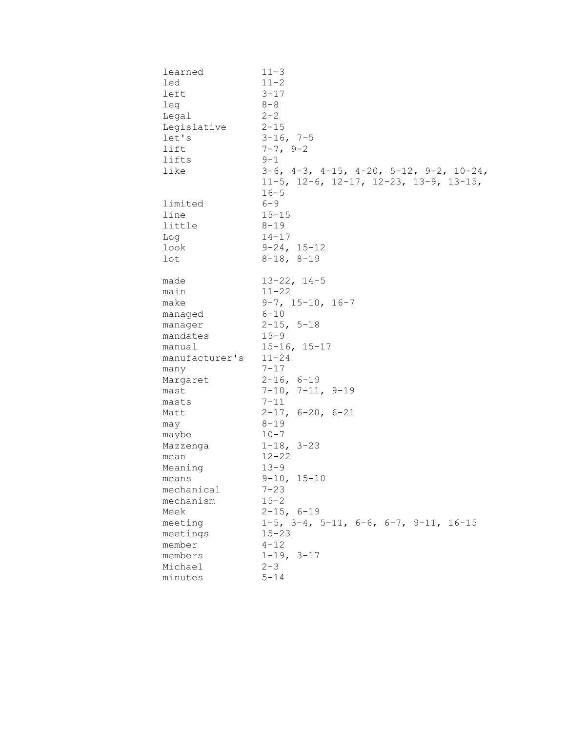| learned        | $11 - 3$                                                     |
|----------------|--------------------------------------------------------------|
| led            | $11 - 2$                                                     |
| left           | $3 - 17$                                                     |
| leg            | $8 - 8$                                                      |
| Legal          | $2 - 2$                                                      |
| Legislative    | $2 - 15$                                                     |
| let's          | $3-16$ , 7-5                                                 |
| lift           | $7 - 7, 9 - 2$                                               |
| lifts          | $9 - 1$                                                      |
| like           | $3-6$ , $4-3$ , $4-15$ , $4-20$ , $5-12$ , $9-2$ , $10-24$ , |
|                | $11-5$ , $12-6$ , $12-17$ , $12-23$ , $13-9$ , $13-15$ ,     |
|                | $16 - 5$                                                     |
| limited        | $6 - 9$                                                      |
| line           | $15 - 15$                                                    |
| little         | $8 - 19$                                                     |
| Log            | $14 - 17$                                                    |
| look           | $9 - 24, 15 - 12$                                            |
| lot            | $8-18, 8-19$                                                 |
|                |                                                              |
| made           | $13 - 22, 14 - 5$                                            |
| main           | $11 - 22$                                                    |
| make           | $9-7$ , $15-10$ , $16-7$                                     |
| managed        | $6 - 10$                                                     |
| manager        | $2 - 15$ , 5-18                                              |
| mandates       | $15 - 9$                                                     |
| manual         | $15 - 16, 15 - 17$                                           |
| manufacturer's | $11 - 24$                                                    |
| many           | $7 - 17$                                                     |
| Margaret       | $2 - 16, 6 - 19$                                             |
| mast           | $7-10$ , $7-11$ , $9-19$                                     |
| masts          | $7 - 11$                                                     |
| Matt           | $2-17, 6-20, 6-21$                                           |
| may            | $8 - 19$                                                     |
| maybe          | $10 - 7$                                                     |
| Mazzenga       | $1 - 18$ , $3 - 23$                                          |
| mean           | $12 - 22$                                                    |
| Meaning        | $13 - 9$                                                     |
| means          | $9-10, 15-10$                                                |
| mechanical     | $7 - 23$                                                     |
| mechanism      | $15 - 2$                                                     |
| Meek           | $2 - 15, 6 - 19$                                             |
| meeting        | $1-5$ , $3-4$ , $5-11$ , $6-6$ , $6-7$ , $9-11$ , $16-15$    |
| meetings       | $15 - 23$                                                    |
| member         | $4 - 12$                                                     |
| members        | $1-19, 3-17$                                                 |
| Michael        | $2 - 3$                                                      |
| minutes        | $5 - 14$                                                     |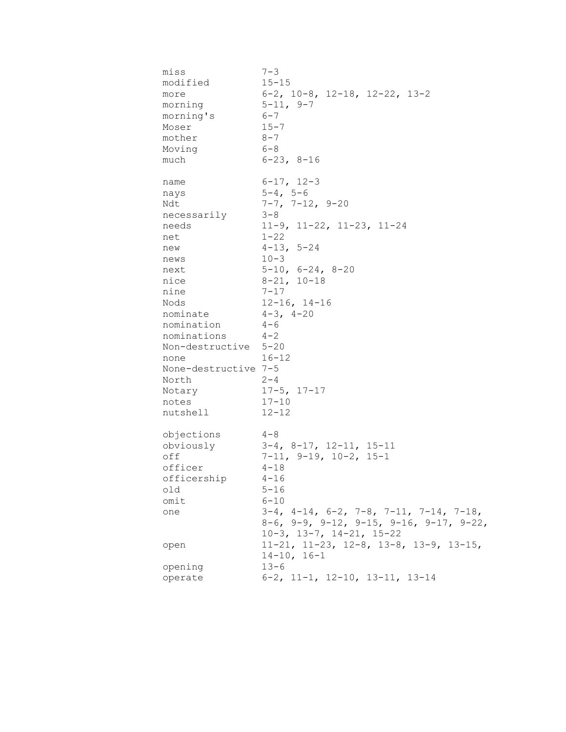miss 7-3 modified 15-15 more 6-2, 10-8, 12-18, 12-22, 13-2 morning 5-11, 9-7 morning's 6-7 Moser 15-7 mother 8-7 Moving 6-8 much 6-23, 8-16 name 6-17, 12-3 nays 5-4, 5-6 Ndt 7-7, 7-12, 9-20 necessarily 3-8 needs 11-9, 11-22, 11-23, 11-24 net 1-22 new 4-13, 5-24 news 10-3 next 5-10, 6-24, 8-20 nice 8-21, 10-18 nine 7-17 Nods 12-16, 14-16 nominate 4-3, 4-20 nomination 4-6 nominations 4-2 Non-destructive 5-20 none 16-12 None-destructive 7-5 North 2-4 Notary 17-5, 17-17 notes 17-10 nutshell 12-12 objections 4-8 obviously 3-4, 8-17, 12-11, 15-11 off 7-11, 9-19, 10-2, 15-1 officer 4-18 officership 4-16 old 5-16 omit 6-10 one 3-4, 4-14, 6-2, 7-8, 7-11, 7-14, 7-18, 8-6, 9-9, 9-12, 9-15, 9-16, 9-17, 9-22, 10-3, 13-7, 14-21, 15-22 open 11-21, 11-23, 12-8, 13-8, 13-9, 13-15, 14-10, 16-1 opening 13-6 operate 6-2, 11-1, 12-10, 13-11, 13-14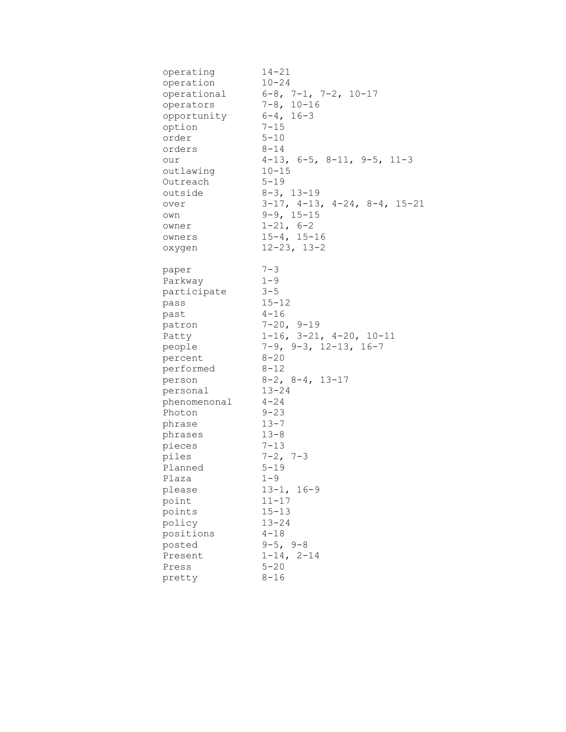| operating<br>operation<br>operational<br>operators<br>opportunity<br>option<br>order<br>orders<br>our<br>outlawing<br>Outreach<br>outside<br>over<br>own                                                                                                                                                     | $14 - 21$<br>$10 - 24$<br>$6-8$ , $7-1$ , $7-2$ , $10-17$<br>$7 - 8$ , 10-16<br>$6 - 4$ , 16-3<br>$7 - 15$<br>$5 - 10$<br>$8 - 14$<br>$4-13$ , $6-5$ , $8-11$ , $9-5$ , $11-3$<br>$10 - 15$<br>$5 - 19$<br>$8 - 3$ , 13-19<br>$3-17$ , $4-13$ , $4-24$ , $8-4$ , $15-21$<br>$9 - 9$ , $15 - 15$                                                                                                                                                                   |
|--------------------------------------------------------------------------------------------------------------------------------------------------------------------------------------------------------------------------------------------------------------------------------------------------------------|-------------------------------------------------------------------------------------------------------------------------------------------------------------------------------------------------------------------------------------------------------------------------------------------------------------------------------------------------------------------------------------------------------------------------------------------------------------------|
| owner<br>owners<br>oxygen                                                                                                                                                                                                                                                                                    | $1 - 21, 6 - 2$<br>$15 - 4, 15 - 16$<br>$12 - 23$ , $13 - 2$                                                                                                                                                                                                                                                                                                                                                                                                      |
| paper<br>Parkway<br>participate<br>pass<br>past<br>patron<br>Patty<br>people<br>percent<br>performed<br>person<br>personal<br>phenomenonal<br>Photon<br>phrase<br>phrases<br>pieces<br>piles<br>Planned<br>Plaza<br>please<br>point<br>points<br>policy<br>positions<br>posted<br>Present<br>Press<br>pretty | $7 - 3$<br>$1 - 9$<br>$3 - 5$<br>$15 - 12$<br>$4 - 16$<br>$7 - 20, 9 - 19$<br>$1-16$ , $3-21$ , $4-20$ , $10-11$<br>$7-9$ , $9-3$ , $12-13$ , $16-7$<br>$8 - 20$<br>$8 - 12$<br>$8-2$ , $8-4$ , $13-17$<br>$13 - 24$<br>$4 - 24$<br>$9 - 23$<br>$13 - 7$<br>$13 - 8$<br>$7 - 13$<br>$7 - 2$ , $7 - 3$<br>$5 - 19$<br>$1 - 9$<br>$13 - 1, 16 - 9$<br>$11 - 17$<br>$15 - 13$<br>$13 - 24$<br>$4 - 18$<br>$9 - 5, 9 - 8$<br>$1 - 14, 2 - 14$<br>$5 - 20$<br>$8 - 16$ |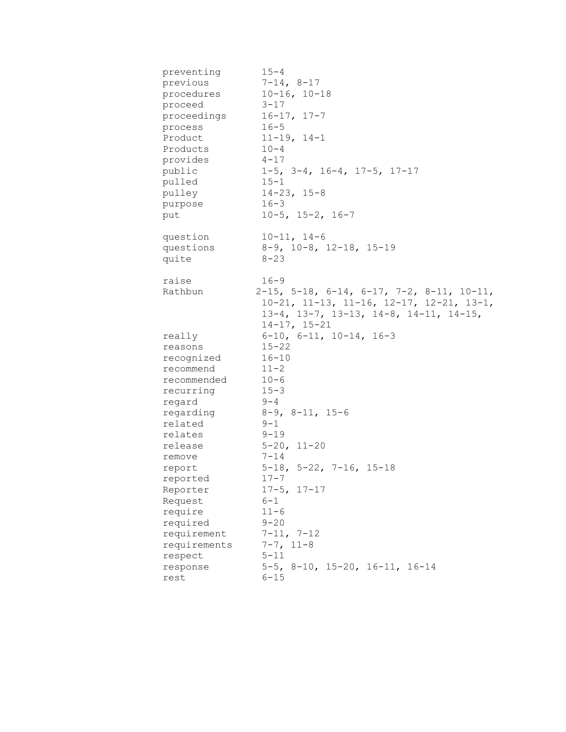| preventing         | $15 - 4$                                                   |
|--------------------|------------------------------------------------------------|
| previous           | $7 - 14, 8 - 17$                                           |
| procedures         | $10 - 16, 10 - 18$                                         |
| proceed            | $3 - 17$                                                   |
| proceedings        | $16 - 17, 17 - 7$                                          |
| process            | $16 - 5$                                                   |
| Product            | $11 - 19, 14 - 1$                                          |
| Products           | $10 - 4$                                                   |
| provides           | $4 - 17$                                                   |
| public             | $1-5$ , $3-4$ , $16-4$ , $17-5$ , $17-17$                  |
| pulled             | $15 - 1$                                                   |
| pulley             | $14 - 23, 15 - 8$                                          |
| purpose            | $16 - 3$                                                   |
| put                | $10-5$ , $15-2$ , $16-7$                                   |
| question           | $10 - 11, 14 - 6$                                          |
| questions          | $8-9$ , $10-8$ , $12-18$ , $15-19$                         |
| quite              | $8 - 23$                                                   |
| raise              | $16 - 9$                                                   |
| Rathbun            | $2-15$ , 5-18, 6-14, 6-17, 7-2, 8-11, 10-11,               |
|                    | $10-21$ , $11-13$ , $11-16$ , $12-17$ , $12-21$ , $13-1$ , |
|                    | $13-4$ , $13-7$ , $13-13$ , $14-8$ , $14-11$ , $14-15$ ,   |
|                    | $14-17, 15-21$                                             |
| really             | $6-10$ , $6-11$ , $10-14$ , $16-3$                         |
| reasons            | $15 - 22$                                                  |
| recognized         | $16 - 10$                                                  |
| recommend          | $11 - 2$                                                   |
| recommended        | $10 - 6$                                                   |
| recurring          | $15 - 3$                                                   |
| regard             | $9 - 4$                                                    |
| regarding          | $8-9$ , $8-11$ , $15-6$                                    |
| related            | $9 - 1$                                                    |
| relates            | $9 - 19$                                                   |
| release            | $5 - 20$ , $11 - 20$                                       |
| remove             | $7 - 14$                                                   |
| report             | $5-18$ , $5-22$ , $7-16$ , $15-18$                         |
| reported           | $17 - 7$                                                   |
| Reporter           | $17 - 5$ , $17 - 17$<br>$6 - 1$                            |
| Request<br>require | $11 - 6$                                                   |
| required           | $9 - 20$                                                   |
| requirement        | $7-11, 7-12$                                               |
| requirements       | $7-7, 11-8$                                                |
| respect            | $5 - 11$                                                   |
| response           | $5-5$ , $8-10$ , $15-20$ , $16-11$ , $16-14$               |
| rest               | $6 - 15$                                                   |
|                    |                                                            |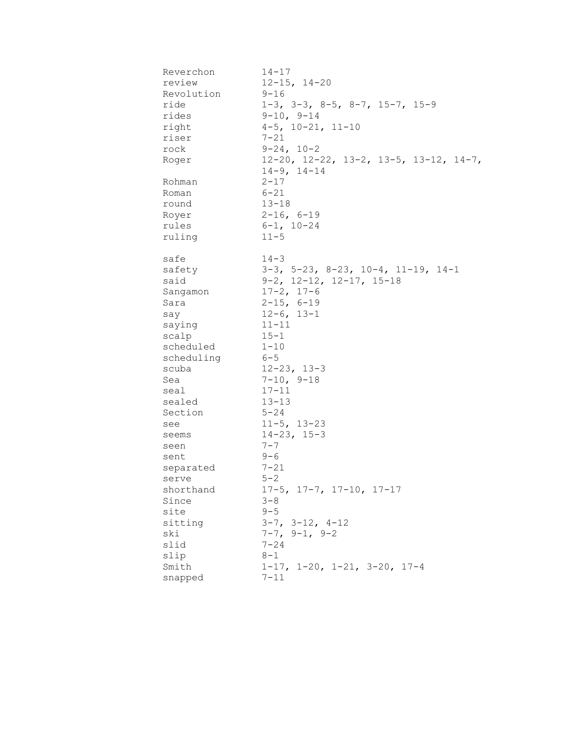| Reverchon          | $14 - 17$                                           |
|--------------------|-----------------------------------------------------|
| review             | $12 - 15$ , $14 - 20$                               |
| Revolution         | $9 - 16$                                            |
| ride               | $1-3$ , $3-3$ , $8-5$ , $8-7$ , $15-7$ , $15-9$     |
| rides              | $9 - 10, 9 - 14$                                    |
| right              | $4-5$ , $10-21$ , $11-10$                           |
| riser              | $7 - 21$                                            |
| rock               | $9 - 24, 10 - 2$                                    |
| Roger              | 12-20, 12-22, 13-2, 13-5, 13-12, 14-7,              |
|                    | $14-9, 14-14$                                       |
| Rohman             | $2 - 17$                                            |
| Roman              | $6 - 21$                                            |
| round              | $13 - 18$                                           |
| Royer              | $2 - 16, 6 - 19$                                    |
| rules              | $6 - 1$ , $10 - 24$                                 |
| ruling             | $11 - 5$                                            |
|                    |                                                     |
| safe               | $14 - 3$                                            |
| safety             | $3-3$ , $5-23$ , $8-23$ , $10-4$ , $11-19$ , $14-1$ |
| said               | $9-2$ , $12-12$ , $12-17$ , $15-18$                 |
| Sangamon           | $17 - 2, 17 - 6$                                    |
| Sara               | $2 - 15$ , 6-19                                     |
|                    | $12-6, 13-1$                                        |
| say                | $11 - 11$                                           |
| saying             | $15 - 1$                                            |
| scalp<br>scheduled | $1 - 10$                                            |
|                    |                                                     |
| scheduling         | $6 - 5$                                             |
| scuba              | $12 - 23$ , $13 - 3$                                |
| Sea                | $7-10, 9-18$                                        |
| seal               | $17 - 11$                                           |
| sealed             | $13 - 13$                                           |
| Section            | $5 - 24$                                            |
| see                | $11 - 5$ , $13 - 23$                                |
| seems              | $14 - 23$ , $15 - 3$                                |
| seen               | $7 - 7$                                             |
| sent               | $9 - 6$                                             |
| separated          | $7 - 21$                                            |
| serve              | $5 - 2$                                             |
| shorthand          | $17-5$ , $17-7$ , $17-10$ , $17-17$                 |
| Since              | $3 - 8$                                             |
| site               | $9 - 5$                                             |
| sitting            | $3-7$ , $3-12$ , $4-12$                             |
| ski                | $7-7, 9-1, 9-2$                                     |
| slid               | $7 - 24$                                            |
| slip               | $8 - 1$                                             |
| Smith              | $1-17$ , $1-20$ , $1-21$ , $3-20$ , $17-4$          |
| snapped            | $7 - 11$                                            |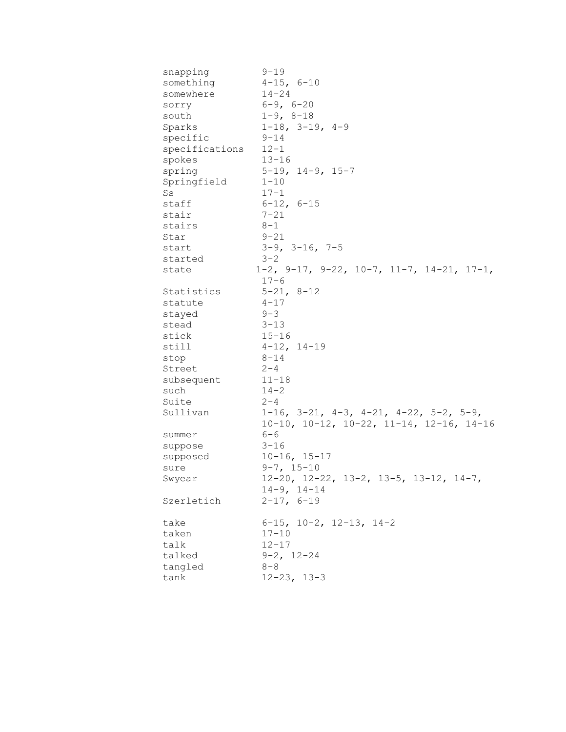| snapping       | $9 - 19$                                                       |
|----------------|----------------------------------------------------------------|
| something      | $4 - 15$ , $6 - 10$                                            |
| somewhere      | $14 - 24$                                                      |
| sorry          | $6 - 9, 6 - 20$                                                |
| south          | $1 - 9, 8 - 18$                                                |
| Sparks         | $1-18$ , $3-19$ , $4-9$                                        |
| specific       | $9 - 14$                                                       |
| specifications | $12 - 1$                                                       |
| spokes         | $13 - 16$                                                      |
| spring         | $5-19$ , $14-9$ , $15-7$                                       |
| Springfield    | $1 - 10$                                                       |
| Ss             | $17 - 1$                                                       |
| staff          | $6 - 12$ , $6 - 15$                                            |
| stair          | $7 - 21$                                                       |
| stairs         | $8 - 1$                                                        |
| Star           | $9 - 21$                                                       |
| start          | $3-9$ , $3-16$ , $7-5$                                         |
| started        | $3 - 2$                                                        |
| state          | $1-2$ , $9-17$ , $9-22$ , $10-7$ , $11-7$ , $14-21$ , $17-1$ , |
|                | $17 - 6$                                                       |
| Statistics     | $5 - 21, 8 - 12$                                               |
| statute        | $4 - 17$                                                       |
| stayed         | $9 - 3$                                                        |
| stead          | $3 - 13$                                                       |
| stick          | $15 - 16$                                                      |
| still          | $4 - 12, 14 - 19$                                              |
| stop           | $8 - 14$                                                       |
| Street         | $2 - 4$                                                        |
| subsequent     | $11 - 18$                                                      |
| such           | $14 - 2$                                                       |
| Suite          | $2 - 4$                                                        |
| Sullivan       | $1-16$ , $3-21$ , $4-3$ , $4-21$ , $4-22$ , $5-2$ , $5-9$ ,    |
|                | $10-10$ , $10-12$ , $10-22$ , $11-14$ , $12-16$ , $14-16$      |
| summer         | $6 - 6$                                                        |
| suppose        | $3 - 16$                                                       |
| supposed       | $10 - 16$ , $15 - 17$                                          |
| sure           | $9 - 7, 15 - 10$                                               |
| Swyear         | $12-20$ , $12-22$ , $13-2$ , $13-5$ , $13-12$ , $14-7$ ,       |
|                | $14-9, 14-14$                                                  |
| Szerletich     | $2 - 17, 6 - 19$                                               |
|                |                                                                |
| take           | $6-15$ , $10-2$ , $12-13$ , $14-2$                             |
| taken          | $17 - 10$                                                      |
| talk           | $12 - 17$                                                      |
| talked         | $9 - 2$ , $12 - 24$                                            |
| tangled        | $8 - 8$                                                        |
| tank           | $12 - 23, 13 - 3$                                              |
|                |                                                                |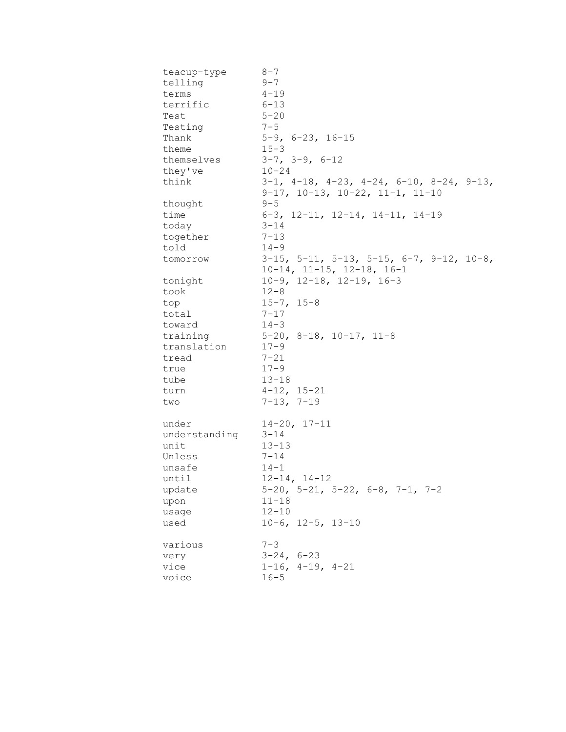| teacup-type   | $8 - 7$                                                                                                        |
|---------------|----------------------------------------------------------------------------------------------------------------|
| telling       | $9 - 7$                                                                                                        |
| terms         | $4 - 19$                                                                                                       |
| terrific      | $6 - 13$                                                                                                       |
| Test          | $5 - 20$                                                                                                       |
| Testing       | $7 - 5$                                                                                                        |
| Thank         | $5-9$ , $6-23$ , $16-15$                                                                                       |
| theme         | $15 - 3$                                                                                                       |
| themselves    | $3-7$ , $3-9$ , $6-12$                                                                                         |
| they've       | $10 - 24$                                                                                                      |
| think         | $3-1$ , $4-18$ , $4-23$ , $4-24$ , $6-10$ , $8-24$ , $9-13$ ,<br>$9-17$ , $10-13$ , $10-22$ , $11-1$ , $11-10$ |
| thought       | $9 - 5$                                                                                                        |
| time          | $6-3$ , 12-11, 12-14, 14-11, 14-19                                                                             |
| today         | $3 - 14$                                                                                                       |
| together      | $7 - 13$                                                                                                       |
| told          | $14 - 9$                                                                                                       |
| tomorrow      | $3-15$ , $5-11$ , $5-13$ , $5-15$ , $6-7$ , $9-12$ , $10-8$ ,                                                  |
|               | $10-14$ , $11-15$ , $12-18$ , $16-1$                                                                           |
| tonight       | $10-9$ , $12-18$ , $12-19$ , $16-3$                                                                            |
| took          | $12 - 8$                                                                                                       |
| top           | $15 - 7, 15 - 8$                                                                                               |
| total         | $7 - 17$                                                                                                       |
| toward        | $14 - 3$                                                                                                       |
| training      | $5-20$ , $8-18$ , $10-17$ , $11-8$                                                                             |
|               | $17 - 9$                                                                                                       |
| translation   |                                                                                                                |
| tread         | $7 - 21$<br>$17 - 9$                                                                                           |
| true          |                                                                                                                |
| tube          | $13 - 18$                                                                                                      |
| turn          | $4 - 12$ , $15 - 21$                                                                                           |
| two           | $7-13, 7-19$                                                                                                   |
| under         | $14 - 20, 17 - 11$                                                                                             |
| understanding | $3 - 14$                                                                                                       |
| unit          | $13 - 13$                                                                                                      |
| Unless        | $7 - 14$                                                                                                       |
| unsafe        | $14 - 1$                                                                                                       |
| until         | $12 - 14, 14 - 12$                                                                                             |
| update        | $5-20$ , $5-21$ , $5-22$ , $6-8$ , $7-1$ , $7-2$                                                               |
| upon          | $11 - 18$                                                                                                      |
| usage         | $12 - 10$                                                                                                      |
| used          | $10-6$ , $12-5$ , $13-10$                                                                                      |
| various       | $7 - 3$                                                                                                        |
| very          | $3 - 24, 6 - 23$                                                                                               |
| vice          | $1-16$ , $4-19$ , $4-21$                                                                                       |
| voice         | $16 - 5$                                                                                                       |